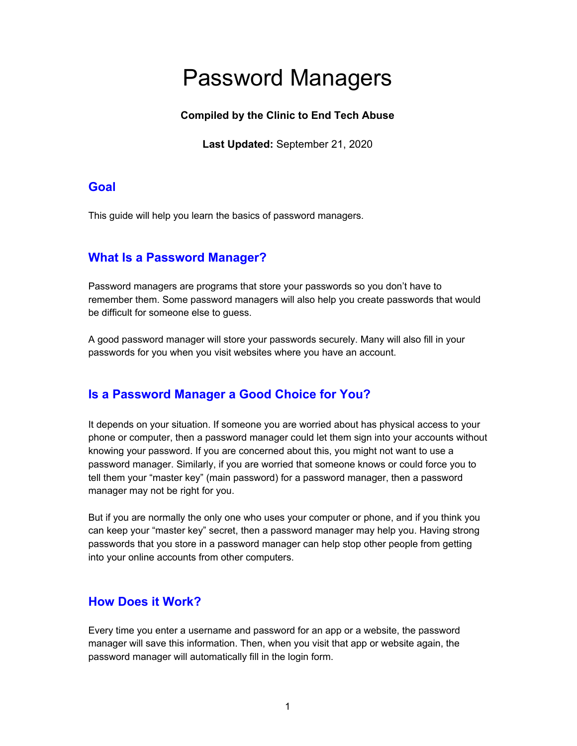# Password Managers

#### **Compiled by the Clinic to End Tech Abuse**

**Last Updated:** September 21, 2020

#### **Goal**

This guide will help you learn the basics of password managers.

## **What Is a Password Manager?**

Password managers are programs that store your passwords so you don't have to remember them. Some password managers will also help you create passwords that would be difficult for someone else to guess.

A good password manager will store your passwords securely. Many will also fill in your passwords for you when you visit websites where you have an account.

## **Is a Password Manager a Good Choice for You?**

It depends on your situation. If someone you are worried about has physical access to your phone or computer, then a password manager could let them sign into your accounts without knowing your password. If you are concerned about this, you might not want to use a password manager. Similarly, if you are worried that someone knows or could force you to tell them your "master key" (main password) for a password manager, then a password manager may not be right for you.

But if you are normally the only one who uses your computer or phone, and if you think you can keep your "master key" secret, then a password manager may help you. Having strong passwords that you store in a password manager can help stop other people from getting into your online accounts from other computers.

## **How Does it Work?**

Every time you enter a username and password for an app or a website, the password manager will save this information. Then, when you visit that app or website again, the password manager will automatically fill in the login form.